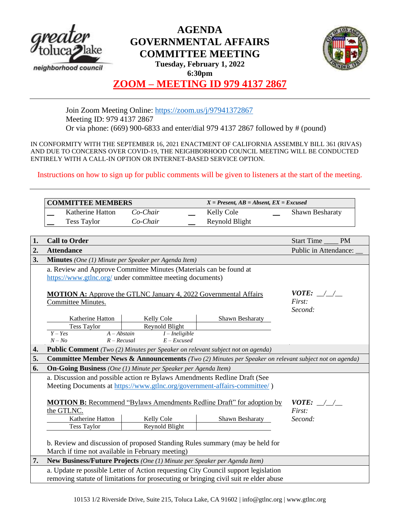

# **AGENDA GOVERNMENTAL AFFAIRS COMMITTEE MEETING**



**Tuesday, February 1, 2022 6:30pm**

## **ZOOM – MEETING ID 979 4137 2867**

Join Zoom Meeting Online:<https://zoom.us/j/97941372867> Meeting ID: 979 4137 2867 Or via phone: (669) 900-6833 and enter/dial 979 4137 2867 followed by # (pound)

IN CONFORMITY WITH THE SEPTEMBER 16, 2021 ENACTMENT OF CALIFORNIA ASSEMBLY BILL 361 (RIVAS) AND DUE TO CONCERNS OVER COVID-19, THE NEIGHBORHOOD COUNCIL MEETING WILL BE CONDUCTED ENTIRELY WITH A CALL-IN OPTION OR INTERNET-BASED SERVICE OPTION.

Instructions on how to sign up for public comments will be given to listeners at the start of the meeting.

|    | <b>COMMITTEE MEMBERS</b>                                                                                         |                  | $X = Present, AB = Absent, EX = Excused$ |                                 |
|----|------------------------------------------------------------------------------------------------------------------|------------------|------------------------------------------|---------------------------------|
|    | Katherine Hatton                                                                                                 | Co-Chair         | Kelly Cole                               | Shawn Besharaty                 |
|    | <b>Tess Taylor</b>                                                                                               | Co-Chair         | Reynold Blight                           |                                 |
|    |                                                                                                                  |                  |                                          |                                 |
| 1. | <b>Call to Order</b>                                                                                             |                  |                                          | <b>Start Time</b><br><b>PM</b>  |
| 2. | <b>Attendance</b>                                                                                                |                  |                                          | Public in Attendance:           |
| 3. | <b>Minutes</b> (One (1) Minute per Speaker per Agenda Item)                                                      |                  |                                          |                                 |
|    | a. Review and Approve Committee Minutes (Materials can be found at                                               |                  |                                          |                                 |
|    | https://www.gtlnc.org/ under committee meeting documents)                                                        |                  |                                          |                                 |
|    |                                                                                                                  |                  |                                          |                                 |
|    | <b>MOTION A:</b> Approve the GTLNC January 4, 2022 Governmental Affairs<br>Committee Minutes.                    |                  |                                          | <i>VOTE:</i> $\angle$<br>First: |
|    |                                                                                                                  |                  |                                          | Second:                         |
|    | Katherine Hatton                                                                                                 | Kelly Cole       | Shawn Besharaty                          |                                 |
|    | <b>Tess Taylor</b>                                                                                               | Reynold Blight   |                                          |                                 |
|    | $A - Abstain$<br>$Y - Yes$                                                                                       | $I$ – Ineligible |                                          |                                 |
|    | $R - Recusal$<br>$N - No$                                                                                        | $E$ – Excused    |                                          |                                 |
| 4. | Public Comment (Two (2) Minutes per Speaker on relevant subject not on agenda)                                   |                  |                                          |                                 |
| 5. | <b>Committee Member News &amp; Announcements</b> (Two (2) Minutes per Speaker on relevant subject not on agenda) |                  |                                          |                                 |
| 6. | <b>On-Going Business</b> (One (1) Minute per Speaker per Agenda Item)                                            |                  |                                          |                                 |
|    | a. Discussion and possible action re Bylaws Amendments Redline Draft (See                                        |                  |                                          |                                 |
|    | Meeting Documents at https://www.gtlnc.org/government-affairs-committee/)                                        |                  |                                          |                                 |
|    | <b>MOTION B:</b> Recommend "Bylaws Amendments Redline Draft" for adoption by<br><i>VOTE:</i> / /                 |                  |                                          |                                 |
|    | the GTLNC.<br>First:                                                                                             |                  |                                          |                                 |
|    | Katherine Hatton                                                                                                 | Kelly Cole       | Shawn Besharaty                          | Second:                         |
|    | <b>Tess Taylor</b>                                                                                               | Reynold Blight   |                                          |                                 |
|    |                                                                                                                  |                  |                                          |                                 |
|    | b. Review and discussion of proposed Standing Rules summary (may be held for                                     |                  |                                          |                                 |
|    | March if time not available in February meeting)                                                                 |                  |                                          |                                 |
| 7. | New Business/Future Projects (One (1) Minute per Speaker per Agenda Item)                                        |                  |                                          |                                 |
|    | a. Update re possible Letter of Action requesting City Council support legislation                               |                  |                                          |                                 |
|    | removing statute of limitations for prosecuting or bringing civil suit re elder abuse                            |                  |                                          |                                 |